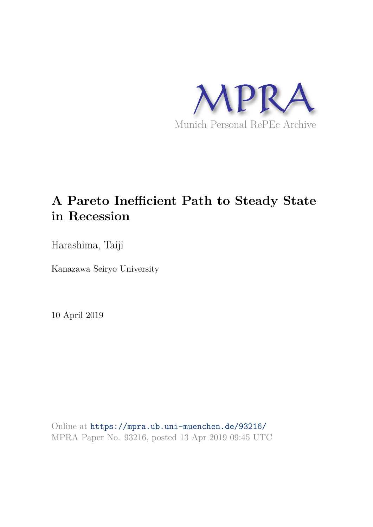

# **A Pareto Inefficient Path to Steady State in Recession**

Harashima, Taiji

Kanazawa Seiryo University

10 April 2019

Online at https://mpra.ub.uni-muenchen.de/93216/ MPRA Paper No. 93216, posted 13 Apr 2019 09:45 UTC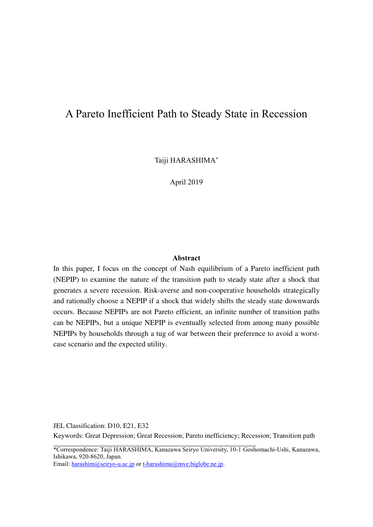## A Pareto Inefficient Path to Steady State in Recession

Taiji HARASHIMA\*

April 2019

#### **Abstract**

In this paper, I focus on the concept of Nash equilibrium of a Pareto inefficient path (NEPIP) to examine the nature of the transition path to steady state after a shock that generates a severe recession. Risk-averse and non-cooperative households strategically and rationally choose a NEPIP if a shock that widely shifts the steady state downwards occurs. Because NEPIPs are not Pareto efficient, an infinite number of transition paths can be NEPIPs, but a unique NEPIP is eventually selected from among many possible NEPIPs by households through a tug of war between their preference to avoid a worstcase scenario and the expected utility.

JEL Classification: D10, E21, E32

Keywords: Great Depression; Great Recession; Pareto inefficiency; Recession; Transition path  $\overline{a}$ 

\*Correspondence: Taiji HARASHIMA, Kanazawa Seiryo University, 10-1 Goshomachi-Ushi, Kanazawa, Ishikawa, 920-8620, Japan.

Email: [harashim@seiryo-u.ac.jp](mailto:harashim@seiryo-u.ac.jp) or [t-harashima@mve.biglobe.ne.jp.](mailto:t-harashima@mve.biglobe.ne.jp)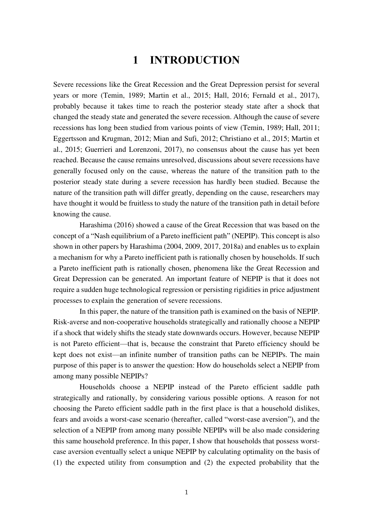# **1 INTRODUCTION**

Severe recessions like the Great Recession and the Great Depression persist for several years or more (Temin, 1989; Martin et al., 2015; Hall, 2016; Fernald et al., 2017), probably because it takes time to reach the posterior steady state after a shock that changed the steady state and generated the severe recession. Although the cause of severe recessions has long been studied from various points of view (Temin, 1989; Hall, 2011; Eggertsson and Krugman, 2012; Mian and Sufi, 2012; Christiano et al., 2015; Martin et al., 2015; Guerrieri and Lorenzoni, 2017), no consensus about the cause has yet been reached. Because the cause remains unresolved, discussions about severe recessions have generally focused only on the cause, whereas the nature of the transition path to the posterior steady state during a severe recession has hardly been studied. Because the nature of the transition path will differ greatly, depending on the cause, researchers may have thought it would be fruitless to study the nature of the transition path in detail before knowing the cause.

 Harashima (2016) showed a cause of the Great Recession that was based on the concept of a "Nash equilibrium of a Pareto inefficient path" (NEPIP). This concept is also shown in other papers by Harashima (2004, 2009, 2017, 2018a) and enables us to explain a mechanism for why a Pareto inefficient path is rationally chosen by households. If such a Pareto inefficient path is rationally chosen, phenomena like the Great Recession and Great Depression can be generated. An important feature of NEPIP is that it does not require a sudden huge technological regression or persisting rigidities in price adjustment processes to explain the generation of severe recessions.

 In this paper, the nature of the transition path is examined on the basis of NEPIP. Risk-averse and non-cooperative households strategically and rationally choose a NEPIP if a shock that widely shifts the steady state downwards occurs. However, because NEPIP is not Pareto efficient—that is, because the constraint that Pareto efficiency should be kept does not exist—an infinite number of transition paths can be NEPIPs. The main purpose of this paper is to answer the question: How do households select a NEPIP from among many possible NEPIPs?

 Households choose a NEPIP instead of the Pareto efficient saddle path strategically and rationally, by considering various possible options. A reason for not choosing the Pareto efficient saddle path in the first place is that a household dislikes, fears and avoids a worst-case scenario (hereafter, called "worst-case aversion"), and the selection of a NEPIP from among many possible NEPIPs will be also made considering this same household preference. In this paper, I show that households that possess worstcase aversion eventually select a unique NEPIP by calculating optimality on the basis of (1) the expected utility from consumption and (2) the expected probability that the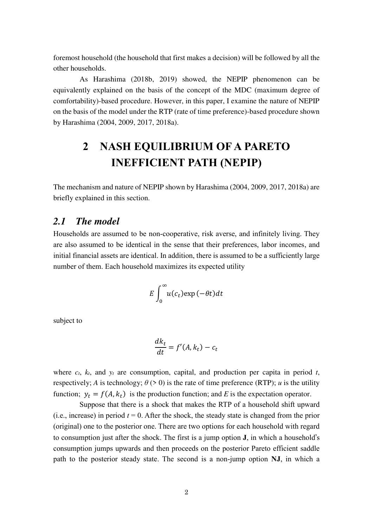foremost household (the household that first makes a decision) will be followed by all the other households.

 As Harashima (2018b, 2019) showed, the NEPIP phenomenon can be equivalently explained on the basis of the concept of the MDC (maximum degree of comfortability)-based procedure. However, in this paper, I examine the nature of NEPIP on the basis of the model under the RTP (rate of time preference)-based procedure shown by Harashima (2004, 2009, 2017, 2018a).

# **2 NASH EQUILIBRIUM OF A PARETO INEFFICIENT PATH (NEPIP)**

The mechanism and nature of NEPIP shown by Harashima (2004, 2009, 2017, 2018a) are briefly explained in this section.

#### *2.1 The model*

Households are assumed to be non-cooperative, risk averse, and infinitely living. They are also assumed to be identical in the sense that their preferences, labor incomes, and initial financial assets are identical. In addition, there is assumed to be a sufficiently large number of them. Each household maximizes its expected utility

$$
E\int_0^\infty u(c_t) \exp(-\theta t) dt
$$

subject to

$$
\frac{dk_t}{dt} = f'(A, k_t) - c_t
$$

where  $c_t$ ,  $k_t$ , and  $y_t$  are consumption, capital, and production per capita in period  $t$ , respectively; *A* is technology;  $\theta$  (> 0) is the rate of time preference (RTP); *u* is the utility function;  $y_t = f(A, k_t)$  is the production function; and *E* is the expectation operator.

Suppose that there is a shock that makes the RTP of a household shift upward (i.e., increase) in period  $t = 0$ . After the shock, the steady state is changed from the prior (original) one to the posterior one. There are two options for each household with regard to consumption just after the shock. The first is a jump option **J**, in which a household's consumption jumps upwards and then proceeds on the posterior Pareto efficient saddle path to the posterior steady state. The second is a non-jump option **NJ**, in which a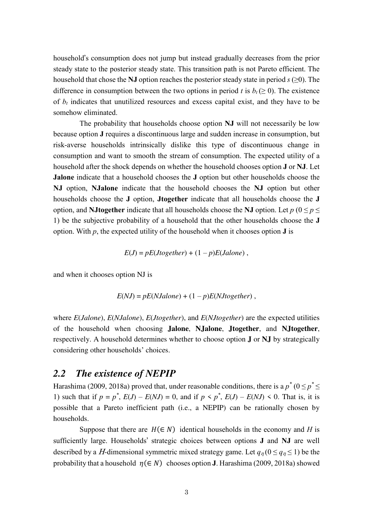household's consumption does not jump but instead gradually decreases from the prior steady state to the posterior steady state. This transition path is not Pareto efficient. The household that chose the **NJ** option reaches the posterior steady state in period  $s \geq 0$ ). The difference in consumption between the two options in period *t* is  $b_t$  ( $\geq 0$ ). The existence of *bt* indicates that unutilized resources and excess capital exist, and they have to be somehow eliminated.

The probability that households choose option **NJ** will not necessarily be low because option **J** requires a discontinuous large and sudden increase in consumption, but risk-averse households intrinsically dislike this type of discontinuous change in consumption and want to smooth the stream of consumption. The expected utility of a household after the shock depends on whether the household chooses option **J** or **NJ**. Let **Jalone** indicate that a household chooses the **J** option but other households choose the **NJ** option, **NJalone** indicate that the household chooses the **NJ** option but other households choose the **J** option, **Jtogether** indicate that all households choose the **J** option, and **NJtogether** indicate that all households choose the **NJ** option. Let  $p(0 \le p \le$ 1) be the subjective probability of a household that the other households choose the **J** option. With  $p$ , the expected utility of the household when it chooses option **J** is

$$
E(J) = pE(Jtogether) + (1 - p)E(Jalone) ,
$$

and when it chooses option NJ is

$$
E(NJ) = pE(NJalone) + (1-p)E(NJtogether)
$$
,

where *E*(*Jalone*), *E*(*NJalone*), *E*(*Jtogether*), and *E*(*NJtogether*) are the expected utilities of the household when choosing **Jalone**, **NJalone**, **Jtogether**, and **NJtogether**, respectively. A household determines whether to choose option **J** or **NJ** by strategically considering other households' choices.

#### *2.2 The existence of NEPIP*

Harashima (2009, 2018a) proved that, under reasonable conditions, there is a  $p^*(0 \leq p^* \leq$ 1) such that if  $p = p^*$ ,  $E(J) - E(NJ) = 0$ , and if  $p < p^*$ ,  $E(J) - E(NJ) < 0$ . That is, it is possible that a Pareto inefficient path (i.e., a NEPIP) can be rationally chosen by households.

Suppose that there are  $H(\in \mathbb{N})$  identical households in the economy and *H* is sufficiently large. Households' strategic choices between options **J** and **NJ** are well described by a *H*-dimensional symmetric mixed strategy game. Let  $q_n(0 \leq q_n \leq 1)$  be the probability that a household  $\eta(\in N)$  chooses option **J**. Harashima (2009, 2018a) showed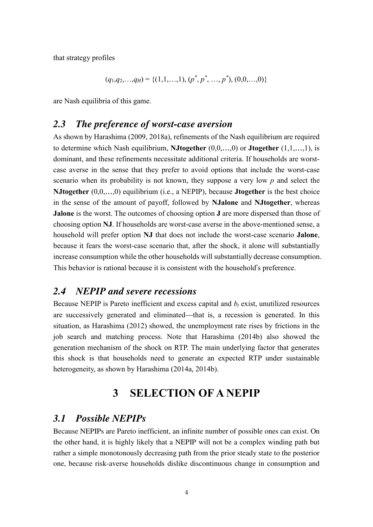that strategy profiles

$$
(q_1,q_2,...,q_H) = \{(1,1,...,1), (p^*, p^*, ..., p^*), (0,0,...,0)\}
$$

are Nash equilibria of this game.

#### *2.3 The preference of worst-case aversion*

As shown by Harashima (2009, 2018a), refinements of the Nash equilibrium are required to determine which Nash equilibrium, **NJtogether** (0,0,…,0) or **Jtogether** (1,1,…,1), is dominant, and these refinements necessitate additional criteria. If households are worstcase averse in the sense that they prefer to avoid options that include the worst-case scenario when its probability is not known, they suppose a very low *p* and select the **NJtogether** (0,0,…,0) equilibrium (i.e., a NEPIP), because **Jtogether** is the best choice in the sense of the amount of payoff, followed by **NJalone** and **NJtogether**, whereas **Jalone** is the worst. The outcomes of choosing option **J** are more dispersed than those of choosing option **NJ**. If households are worst-case averse in the above-mentioned sense, a household will prefer option **NJ** that does not include the worst-case scenario **Jalone**, because it fears the worst-case scenario that, after the shock, it alone will substantially increase consumption while the other households will substantially decrease consumption. This behavior is rational because it is consistent with the household's preference.

### *2.4 NEPIP and severe recessions*

Because NEPIP is Pareto inefficient and excess capital and *bt* exist, unutilized resources are successively generated and eliminated—that is, a recession is generated. In this situation, as Harashima (2012) showed, the unemployment rate rises by frictions in the job search and matching process. Note that Harashima (2014b) also showed the generation mechanism of the shock on RTP. The main underlying factor that generates this shock is that households need to generate an expected RTP under sustainable heterogeneity, as shown by Harashima (2014a, 2014b).

# **3 SELECTION OF A NEPIP**

#### *3.1 Possible NEPIPs*

Because NEPIPs are Pareto inefficient, an infinite number of possible ones can exist. On the other hand, it is highly likely that a NEPIP will not be a complex winding path but rather a simple monotonously decreasing path from the prior steady state to the posterior one, because risk-averse households dislike discontinuous change in consumption and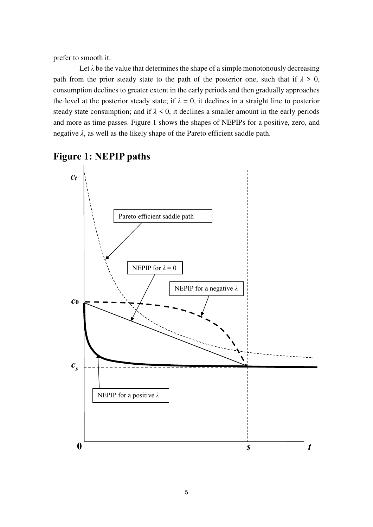prefer to smooth it.

Let  $\lambda$  be the value that determines the shape of a simple monotonously decreasing path from the prior steady state to the path of the posterior one, such that if  $\lambda > 0$ , consumption declines to greater extent in the early periods and then gradually approaches the level at the posterior steady state; if  $\lambda = 0$ , it declines in a straight line to posterior steady state consumption; and if  $\lambda \leq 0$ , it declines a smaller amount in the early periods and more as time passes. Figure 1 shows the shapes of NEPIPs for a positive, zero, and negative  $\lambda$ , as well as the likely shape of the Pareto efficient saddle path.



**Figure 1: NEPIP paths**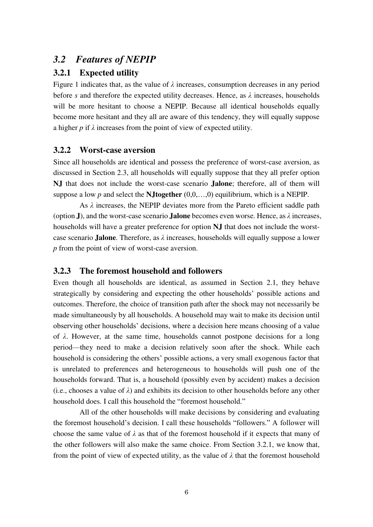### *3.2 Features of NEPIP*

#### **3.2.1 Expected utility**

Figure 1 indicates that, as the value of *λ* increases, consumption decreases in any period before *s* and therefore the expected utility decreases. Hence, as  $\lambda$  increases, households will be more hesitant to choose a NEPIP. Because all identical households equally become more hesitant and they all are aware of this tendency, they will equally suppose a higher *p* if *λ* increases from the point of view of expected utility.

#### **3.2.2 Worst-case aversion**

Since all households are identical and possess the preference of worst-case aversion, as discussed in Section 2.3, all households will equally suppose that they all prefer option **NJ** that does not include the worst-case scenario **Jalone**; therefore, all of them will suppose a low  $p$  and select the **N**Jtogether  $(0,0,...,0)$  equilibrium, which is a NEPIP.

 As *λ* increases, the NEPIP deviates more from the Pareto efficient saddle path (option **J**), and the worst-case scenario **Jalone** becomes even worse. Hence, as *λ* increases, households will have a greater preference for option **NJ** that does not include the worstcase scenario **Jalone**. Therefore, as *λ* increases, households will equally suppose a lower *p* from the point of view of worst-case aversion.

#### **3.2.3 The foremost household and followers**

Even though all households are identical, as assumed in Section 2.1, they behave strategically by considering and expecting the other households' possible actions and outcomes. Therefore, the choice of transition path after the shock may not necessarily be made simultaneously by all households. A household may wait to make its decision until observing other households' decisions, where a decision here means choosing of a value of *λ*. However, at the same time, households cannot postpone decisions for a long period—they need to make a decision relatively soon after the shock. While each household is considering the others' possible actions, a very small exogenous factor that is unrelated to preferences and heterogeneous to households will push one of the households forward. That is, a household (possibly even by accident) makes a decision (i.e., chooses a value of  $\lambda$ ) and exhibits its decision to other households before any other household does. I call this household the "foremost household."

 All of the other households will make decisions by considering and evaluating the foremost household's decision. I call these households "followers." A follower will choose the same value of  $\lambda$  as that of the foremost household if it expects that many of the other followers will also make the same choice. From Section 3.2.1, we know that, from the point of view of expected utility, as the value of  $\lambda$  that the foremost household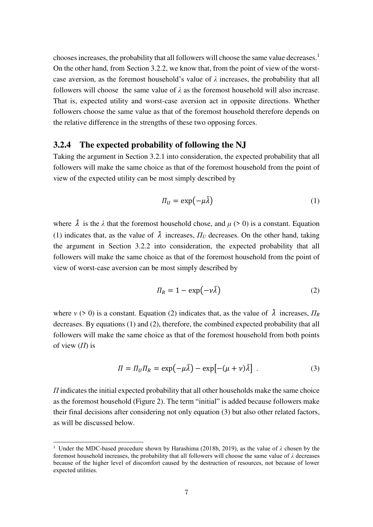chooses increases, the probability that all followers will choose the same value decreases.<sup>1</sup> On the other hand, from Section 3.2.2, we know that, from the point of view of the worstcase aversion, as the foremost household's value of *λ* increases, the probability that all followers will choose the same value of  $\lambda$  as the foremost household will also increase. That is, expected utility and worst-case aversion act in opposite directions. Whether followers choose the same value as that of the foremost household therefore depends on the relative difference in the strengths of these two opposing forces.

#### **3.2.4 The expected probability of following the NJ**

Taking the argument in Section 3.2.1 into consideration, the expected probability that all followers will make the same choice as that of the foremost household from the point of view of the expected utility can be most simply described by

$$
\Pi_U = \exp(-\mu \tilde{\lambda}) \tag{1}
$$

where  $\tilde{\lambda}$  is the  $\lambda$  that the foremost household chose, and  $\mu$  (> 0) is a constant. Equation (1) indicates that, as the value of  $\tilde{\lambda}$  increases,  $\Pi_U$  decreases. On the other hand, taking the argument in Section 3.2.2 into consideration, the expected probability that all followers will make the same choice as that of the foremost household from the point of view of worst-case aversion can be most simply described by

$$
\Pi_R = 1 - \exp(-\nu \tilde{\lambda}) \tag{2}
$$

where  $v > 0$  is a constant. Equation (2) indicates that, as the value of  $\tilde{\lambda}$  increases,  $\Pi_R$ decreases. By equations (1) and (2), therefore, the combined expected probability that all followers will make the same choice as that of the foremost household from both points of view (*Π*) is

$$
\Pi = \Pi_U \Pi_R = \exp(-\mu \tilde{\lambda}) - \exp[-(\mu + \nu)\tilde{\lambda}]. \tag{3}
$$

*Π* indicates the initial expected probability that all other households make the same choice as the foremost household (Figure 2). The term "initial" is added because followers make their final decisions after considering not only equation (3) but also other related factors, as will be discussed below.

 $\overline{a}$ 

<sup>1</sup> Under the MDC-based procedure shown by Harashima (2018b, 2019), as the value of *λ* chosen by the foremost household increases, the probability that all followers will choose the same value of *λ* decreases because of the higher level of discomfort caused by the destruction of resources, not because of lower expected utilities.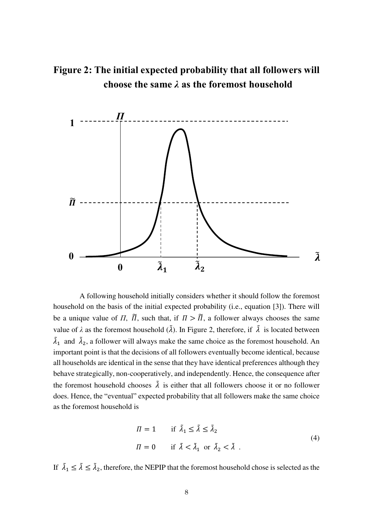



A following household initially considers whether it should follow the foremost household on the basis of the initial expected probability (i.e., equation [3]). There will be a unique value of  $\Pi$ ,  $\tilde{\Pi}$ , such that, if  $\Pi > \tilde{\Pi}$ , a follower always chooses the same value of  $\lambda$  as the foremost household  $(\tilde{\lambda})$ . In Figure 2, therefore, if  $\tilde{\lambda}$  is located between  $\lambda_1$  and  $\lambda_2$ , a follower will always make the same choice as the foremost household. An important point is that the decisions of all followers eventually become identical, because all households are identical in the sense that they have identical preferences although they behave strategically, non-cooperatively, and independently. Hence, the consequence after the foremost household chooses  $\tilde{\lambda}$  is either that all followers choose it or no follower does. Hence, the "eventual" expected probability that all followers make the same choice as the foremost household is

$$
\Pi = 1 \quad \text{if } \tilde{\lambda}_1 \le \tilde{\lambda} \le \tilde{\lambda}_2
$$
  

$$
\Pi = 0 \quad \text{if } \tilde{\lambda} < \tilde{\lambda}_1 \text{ or } \tilde{\lambda}_2 < \tilde{\lambda} .
$$
 (4)

If  $\lambda_1 \leq \lambda \leq \lambda_2$ , therefore, the NEPIP that the foremost household chose is selected as the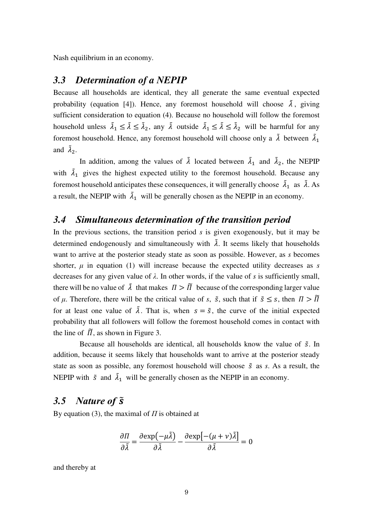Nash equilibrium in an economy.

## *3.3 Determination of a NEPIP*

Because all households are identical, they all generate the same eventual expected probability (equation [4]). Hence, any foremost household will choose  $\tilde{\lambda}$ , giving sufficient consideration to equation (4). Because no household will follow the foremost household unless  $\lambda_1 \leq \lambda \leq \lambda_2$ , any  $\lambda$  outside  $\lambda_1 \leq \lambda \leq \lambda_2$  will be harmful for any foremost household. Hence, any foremost household will choose only a  $\lambda$  between  $\lambda_1$ and  $\lambda_2$ .

In addition, among the values of  $\lambda$  located between  $\lambda_1$  and  $\lambda_2$ , the NEPIP with  $\lambda_1$  gives the highest expected utility to the foremost household. Because any foremost household anticipates these consequences, it will generally choose  $\lambda_1$  as  $\lambda$ . As a result, the NEPIP with  $\lambda_1$  will be generally chosen as the NEPIP in an economy.

#### *3.4 Simultaneous determination of the transition period*

In the previous sections, the transition period *s* is given exogenously, but it may be determined endogenously and simultaneously with  $\tilde{\lambda}$ . It seems likely that households want to arrive at the posterior steady state as soon as possible. However, as *s* becomes shorter,  $\mu$  in equation (1) will increase because the expected utility decreases as  $\delta$ decreases for any given value of *λ*. In other words, if the value of *s* is sufficiently small, there will be no value of  $\tilde{\lambda}$  that makes  $\Pi > \tilde{\Pi}$  because of the corresponding larger value of  $\mu$ . Therefore, there will be the critical value of *s*,  $\tilde{s}$ , such that if  $\tilde{s} \leq s$ , then  $\Pi > \tilde{\Pi}$ for at least one value of  $\lambda$ . That is, when  $s = \tilde{s}$ , the curve of the initial expected probability that all followers will follow the foremost household comes in contact with the line of  $\tilde{\Pi}$ , as shown in Figure 3.

Because all households are identical, all households know the value of  $\tilde{s}$ . In addition, because it seems likely that households want to arrive at the posterior steady state as soon as possible, any foremost household will choose  $\tilde{s}$  as *s*. As a result, the NEPIP with  $\tilde{s}$  and  $\tilde{\lambda}_1$  will be generally chosen as the NEPIP in an economy.

## *3.5 Nature of* ̃

By equation (3), the maximal of *Π* is obtained at

$$
\frac{\partial \Pi}{\partial \tilde{\lambda}} = \frac{\partial \exp(-\mu \tilde{\lambda})}{\partial \tilde{\lambda}} - \frac{\partial \exp[-(\mu + \nu) \tilde{\lambda}]}{\partial \tilde{\lambda}} = 0
$$

and thereby at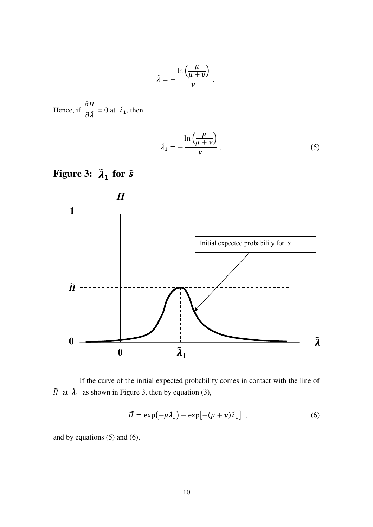$$
\tilde{\lambda} = -\frac{\ln\left(\frac{\mu}{\mu + \nu}\right)}{\nu} \ .
$$

Hence, if  $\frac{\partial H}{\partial \widetilde{\gamma}}$  $\overline{\partial \widetilde{\lambda}}$  = 0 at  $\lambda_1$ , then

$$
\tilde{\lambda}_1 = -\frac{\ln\left(\frac{\mu}{\mu + \nu}\right)}{\nu} \,. \tag{5}
$$



Figure 3:  $\tilde{\lambda}_1$  for  $\tilde{s}$ 

 If the curve of the initial expected probability comes in contact with the line of  $\overline{\Pi}$  at  $\overline{\lambda}_1$  as shown in Figure 3, then by equation (3),

$$
\widetilde{\Pi} = \exp(-\mu \widetilde{\lambda}_1) - \exp[-(\mu + \nu)\widetilde{\lambda}_1], \qquad (6)
$$

and by equations (5) and (6),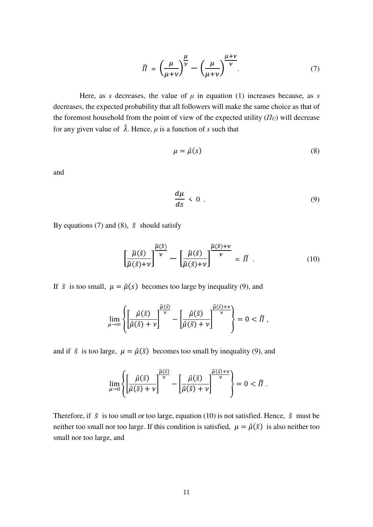$$
\widetilde{\Pi} = \left(\frac{\mu}{\mu + \nu}\right)^{\frac{\mu}{\nu}} - \left(\frac{\mu}{\mu + \nu}\right)^{\frac{\mu + \nu}{\nu}}.\tag{7}
$$

Here, as *s* decreases, the value of  $\mu$  in equation (1) increases because, as *s* decreases, the expected probability that all followers will make the same choice as that of the foremost household from the point of view of the expected utility  $(T_U)$  will decrease for any given value of  $\lambda$ . Hence,  $\mu$  is a function of *s* such that

$$
\mu = \hat{\mu}(s) \tag{8}
$$

and

$$
\frac{d\mu}{ds} < 0 \tag{9}
$$

By equations (7) and (8),  $\tilde{s}$  should satisfy

$$
\left[\frac{\widehat{\mu}(\tilde{s})}{\widehat{\mu}(\tilde{s})+\nu}\right]^{\widehat{\mu}(\tilde{s})} - \left[\frac{\widehat{\mu}(\tilde{s})}{\widehat{\mu}(\tilde{s})+\nu}\right]^{\widehat{\mu}(\tilde{s})+\nu} = \widetilde{\Pi} \tag{10}
$$

If  $\tilde{s}$  is too small,  $\mu = \hat{\mu}(s)$  becomes too large by inequality (9), and

$$
\lim_{\mu\to\infty}\left\{\left[\frac{\hat\mu(\tilde s)}{\hat\mu(\tilde s)+\nu}\right]^{\frac{\hat\mu(\tilde s)}{\nu}}-\left[\frac{\hat\mu(\tilde s)}{\hat\mu(\tilde s)+\nu}\right]^{\frac{\hat\mu(\tilde s)+\nu}{\nu}}\right\}=0<\widetilde\Pi\;,
$$

and if  $\tilde{s}$  is too large,  $\mu = \hat{\mu}(\tilde{s})$  becomes too small by inequality (9), and

$$
\lim_{\mu\to 0}\left\{\left[\frac{\hat{\mu}(\tilde{s})}{\hat{\mu}(\tilde{s})+\nu}\right]^{\frac{\hat{\mu}(\tilde{s})}{\nu}} - \left[\frac{\hat{\mu}(\tilde{s})}{\hat{\mu}(\tilde{s})+\nu}\right]^{\frac{\hat{\mu}(\tilde{s})+\nu}{\nu}}\right\} = 0 < \tilde{\Pi}.
$$

Therefore, if  $\tilde{s}$  is too small or too large, equation (10) is not satisfied. Hence,  $\tilde{s}$  must be neither too small nor too large. If this condition is satisfied,  $\mu = \hat{\mu}(\tilde{s})$  is also neither too small nor too large, and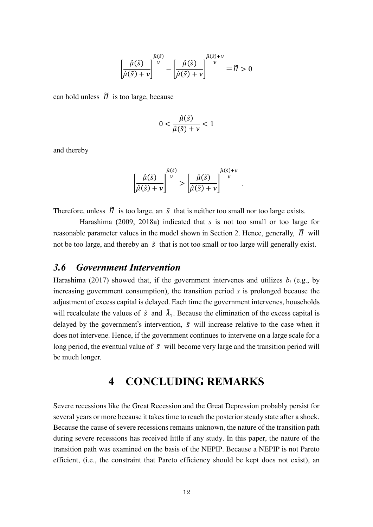$$
\left[\frac{\hat{\mu}(\tilde{s})}{\hat{\mu}(\tilde{s})+\nu}\right]^{\frac{\hat{\mu}(\tilde{s})}{\nu}} - \left[\frac{\hat{\mu}(\tilde{s})}{\hat{\mu}(\tilde{s})+\nu}\right]^{\frac{\hat{\mu}(\tilde{s})+\nu}{\nu}} = \tilde{\Pi} > 0
$$

can hold unless  $\tilde{\Pi}$  is too large, because

$$
0 < \frac{\hat{\mu}(\tilde{s})}{\hat{\mu}(\tilde{s}) + \nu} < 1
$$

and thereby

$$
\left[\frac{\hat{\mu}(\tilde{s})}{\hat{\mu}(\tilde{s})+\nu}\right]^{\frac{\hat{\mu}(\tilde{s})}{\nu}} > \left[\frac{\hat{\mu}(\tilde{s})}{\hat{\mu}(\tilde{s})+\nu}\right]^{\frac{\hat{\mu}(\tilde{s})+\nu}{\nu}}.
$$

Therefore, unless  $\tilde{\Pi}$  is too large, an  $\tilde{s}$  that is neither too small nor too large exists.

Harashima (2009, 2018a) indicated that *s* is not too small or too large for reasonable parameter values in the model shown in Section 2. Hence, generally,  $\tilde{\Pi}$  will not be too large, and thereby an  $\tilde{s}$  that is not too small or too large will generally exist.

#### *3.6 Government Intervention*

Harashima (2017) showed that, if the government intervenes and utilizes  $b_t$  (e.g., by increasing government consumption), the transition period *s* is prolonged because the adjustment of excess capital is delayed. Each time the government intervenes, households will recalculate the values of  $\tilde{s}$  and  $\lambda_1$ . Because the elimination of the excess capital is delayed by the government's intervention,  $\tilde{s}$  will increase relative to the case when it does not intervene. Hence, if the government continues to intervene on a large scale for a long period, the eventual value of  $\tilde{s}$  will become very large and the transition period will be much longer.

# **4 CONCLUDING REMARKS**

Severe recessions like the Great Recession and the Great Depression probably persist for several years or more because it takes time to reach the posterior steady state after a shock. Because the cause of severe recessions remains unknown, the nature of the transition path during severe recessions has received little if any study. In this paper, the nature of the transition path was examined on the basis of the NEPIP. Because a NEPIP is not Pareto efficient, (i.e., the constraint that Pareto efficiency should be kept does not exist), an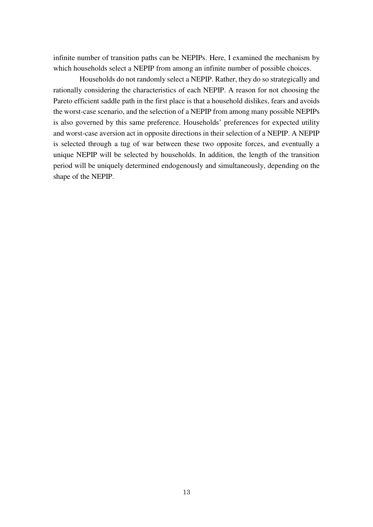infinite number of transition paths can be NEPIPs. Here, I examined the mechanism by which households select a NEPIP from among an infinite number of possible choices.

 Households do not randomly select a NEPIP. Rather, they do so strategically and rationally considering the characteristics of each NEPIP. A reason for not choosing the Pareto efficient saddle path in the first place is that a household dislikes, fears and avoids the worst-case scenario, and the selection of a NEPIP from among many possible NEPIPs is also governed by this same preference. Households' preferences for expected utility and worst-case aversion act in opposite directions in their selection of a NEPIP. A NEPIP is selected through a tug of war between these two opposite forces, and eventually a unique NEPIP will be selected by households. In addition, the length of the transition period will be uniquely determined endogenously and simultaneously, depending on the shape of the NEPIP.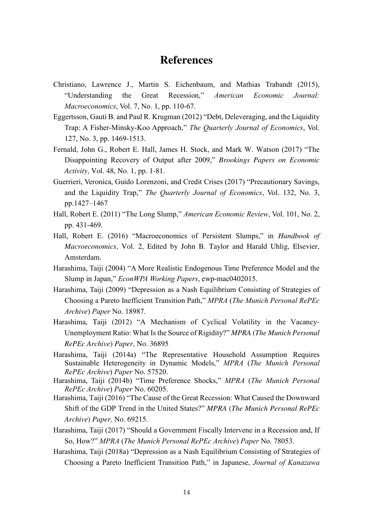## **References**

- Christiano, Lawrence J., Martin S. Eichenbaum, and Mathias Trabandt (2015), "Understanding the Great Recession," *American Economic Journal: Macroeconomics*, Vol. 7, No. 1, pp. 110-67.
- Eggertsson, Gauti B. and Paul R. Krugman (2012) "Debt, Deleveraging, and the Liquidity Trap: A Fisher-Minsky-Koo Approach," *The Quarterly Journal of Economics*, Vol. 127, No. 3, pp. 1469-1513.
- Fernald, John G., Robert E. Hall, James H. Stock, and Mark W. Watson (2017) "The Disappointing Recovery of Output after 2009," *Brookings Papers on Economic Activity*, Vol. 48, No. 1, pp. 1-81.
- Guerrieri, Veronica, Guido Lorenzoni, and Credit Crises (2017) "Precautionary Savings, and the Liquidity Trap," *The Quarterly Journal of Economics*, Vol. 132, No. 3, pp.1427–1467
- Hall, Robert E. (2011) "The Long Slump," *American Economic Review*, Vol. 101, No. 2, pp. 431-469.
- Hall, Robert E. (2016) "Macroeconomics of Persistent Slumps," in *Handbook of Macroeconomics*, Vol. 2, Edited by John B. Taylor and Harald Uhlig, Elsevier, Amsterdam.
- Harashima, Taiji (2004) "A More Realistic Endogenous Time Preference Model and the Slump in Japan," *EconWPA Working Papers*, ewp-mac0402015.
- Harashima, Taiji (2009) "Depression as a Nash Equilibrium Consisting of Strategies of Choosing a Pareto Inefficient Transition Path," *MPRA* (*The Munich Personal RePEc Archive*) *Paper* No. 18987.
- Harashima, Taiji (2012) "A Mechanism of Cyclical Volatility in the Vacancy-Unemployment Ratio: What Is the Source of Rigidity?" *MPRA* (*The Munich Personal RePEc Archive*) *Paper*, No. 36895
- Harashima, Taiji (2014a) "The Representative Household Assumption Requires Sustainable Heterogeneity in Dynamic Models," *MPRA* (*The Munich Personal RePEc Archive*) *Paper* No. 57520.
- Harashima, Taiji (2014b) "Time Preference Shocks," *MPRA* (*The Munich Personal RePEc Archive*) *Paper* No. 60205.
- Harashima, Taiji (2016) "The Cause of the Great Recession: What Caused the Downward Shift of the GDP Trend in the United States?" *MPRA* (*The Munich Personal RePEc Archive*) *Paper,* No. 69215.
- Harashima, Taiji (2017) "Should a Government Fiscally Intervene in a Recession and, If So, How?" *MPRA* (*The Munich Personal RePEc Archive*) *Paper* No. 78053.
- Harashima, Taiji (2018a) "Depression as a Nash Equilibrium Consisting of Strategies of Choosing a Pareto Inefficient Transition Path," in Japanese, *Journal of Kanazawa*